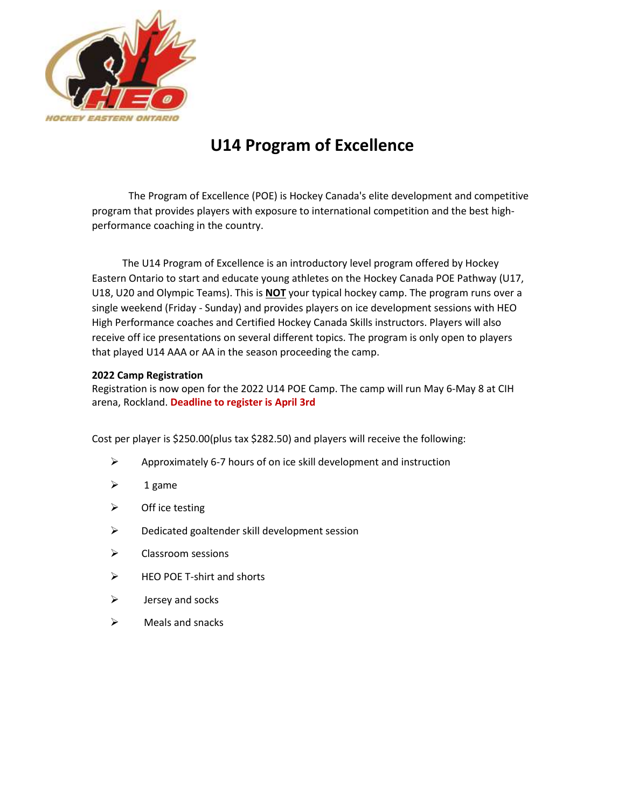

## **U14 Program of Excellence**

The Program of Excellence (POE) is Hockey Canada's elite development and competitive program that provides players with exposure to international competition and the best highperformance coaching in the country.

 The U14 Program of Excellence is an introductory level program offered by Hockey Eastern Ontario to start and educate young athletes on the Hockey Canada POE Pathway (U17, U18, U20 and Olympic Teams). This is **NOT** your typical hockey camp. The program runs over a single weekend (Friday - Sunday) and provides players on ice development sessions with HEO High Performance coaches and Certified Hockey Canada Skills instructors. Players will also receive off ice presentations on several different topics. The program is only open to players that played U14 AAA or AA in the season proceeding the camp.

## **2022 Camp Registration**

Registration is now open for the 2022 U14 POE Camp. The camp will run May 6-May 8 at CIH arena, Rockland. **Deadline to register is April 3rd**

Cost per player is \$250.00(plus tax \$282.50) and players will receive the following:

- ➢ Approximately 6-7 hours of on ice skill development and instruction
- $\geq$  1 game
- $\triangleright$  Off ice testing
- $\triangleright$  Dedicated goaltender skill development session
- ➢ Classroom sessions
- ➢ HEO POE T-shirt and shorts
- $\triangleright$  Jersey and socks
- $\triangleright$  Meals and snacks